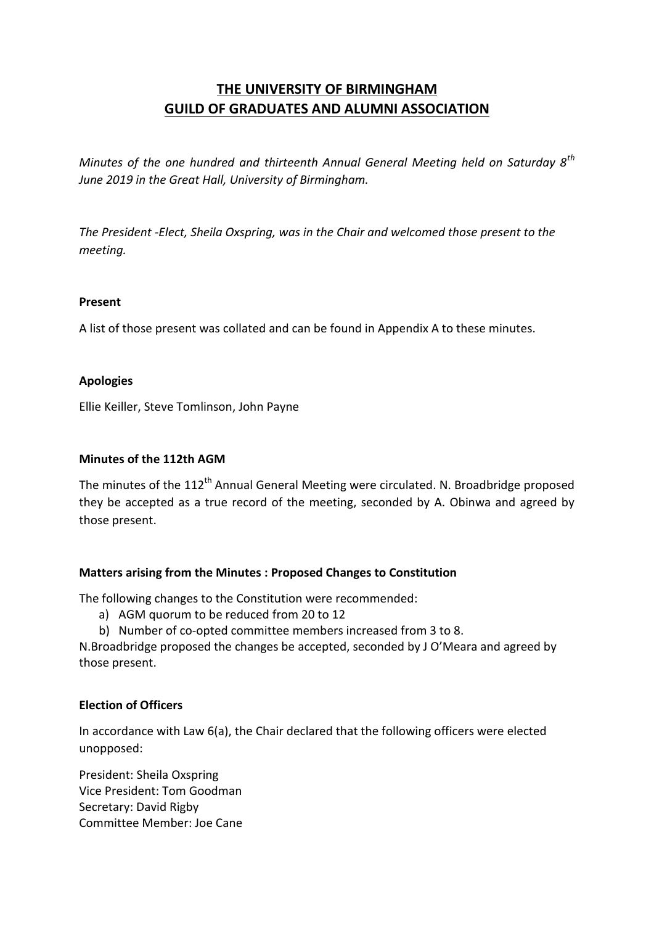# **THE UNIVERSITY OF BIRMINGHAM GUILD OF GRADUATES AND ALUMNI ASSOCIATION**

*Minutes of the one hundred and thirteenth Annual General Meeting held on Saturday 8th June 2019 in the Great Hall, University of Birmingham.*

*The President -Elect, Sheila Oxspring, was in the Chair and welcomed those present to the meeting.*

### **Present**

A list of those present was collated and can be found in Appendix A to these minutes.

### **Apologies**

Ellie Keiller, Steve Tomlinson, John Payne

#### **Minutes of the 112th AGM**

The minutes of the 112<sup>th</sup> Annual General Meeting were circulated. N. Broadbridge proposed they be accepted as a true record of the meeting, seconded by A. Obinwa and agreed by those present.

# **Matters arising from the Minutes : Proposed Changes to Constitution**

The following changes to the Constitution were recommended:

- a) AGM quorum to be reduced from 20 to 12
- b) Number of co-opted committee members increased from 3 to 8.

N.Broadbridge proposed the changes be accepted, seconded by J O'Meara and agreed by those present.

# **Election of Officers**

In accordance with Law 6(a), the Chair declared that the following officers were elected unopposed:

President: Sheila Oxspring Vice President: Tom Goodman Secretary: David Rigby Committee Member: Joe Cane